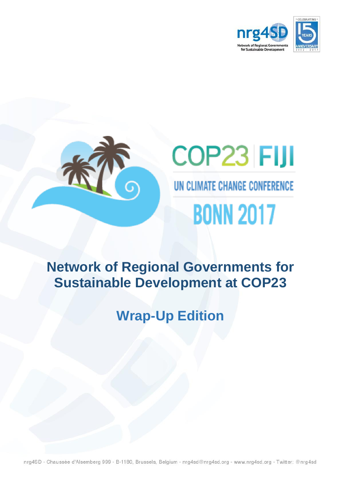



## **Network of Regional Governments for Sustainable Development at COP23**

# **Wrap-Up Edition**

nrg4SD - Chaussée d'Alsemberg 999 - B-1180, Brussels, Belgium - nrg4sd@nrg4sd.org - www.nrg4sd.org - Twitter: @nrg4sd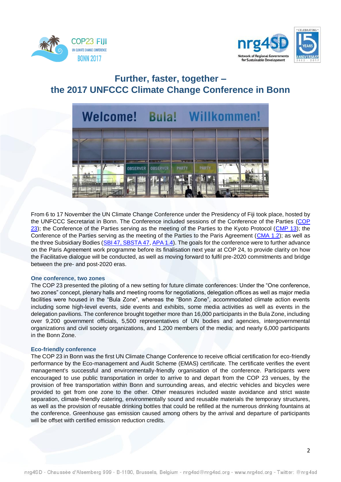



## **Further, faster, together – the 2017 UNFCCC Climate Change Conference in Bonn**



From 6 to 17 November the UN Climate Change Conference under the Presidency of Fiji took place, hosted by the UNFCCC Secretariat in Bonn. The Conference included sessions of the Conference of the Parties [\(COP](http://unfccc.int/meetings/bonn_nov_2017/session/10376.php)  [23\)](http://unfccc.int/meetings/bonn_nov_2017/session/10376.php); the Conference of the Parties serving as the meeting of the Parties to the Kyoto Protocol [\(CMP 13\)](http://unfccc.int/meetings/bonn_nov_2017/session/10377.php); the Conference of the Parties serving as the meeting of the Parties to the Paris Agreement [\(CMA 1.2\)](http://unfccc.int/meetings/bonn_nov_2017/session/10378.php); as well as the three Subsidiary Bodies [\(SBI 47,](http://unfccc.int/meetings/bonn_nov_2017/session/10379.php) [SBSTA 47,](http://unfccc.int/meetings/bonn_nov_2017/session/10380.php) [APA 1.4\)](http://unfccc.int/meetings/bonn_nov_2017/meeting/10084.php). The goals for the conference were to further advance on the Paris Agreement work programme before its finalisation next year at COP 24, to provide clarity on how the Facilitative dialogue will be conducted, as well as moving forward to fulfil pre-2020 commitments and bridge between the pre- and post-2020 eras.

#### **One conference, two zones**

The COP 23 presented the piloting of a new setting for future climate conferences: Under the "One conference, two zones" concept, plenary halls and meeting rooms for negotiations, delegation offices as well as major media facilities were housed in the "Bula Zone", whereas the "Bonn Zone", accommodated climate action events including some high-level events, side events and exhibits, some media activities as well as events in the delegation pavilions. The conference brought together more than 16,000 participants in the Bula Zone, including over 9,200 government officials, 5,500 representatives of UN bodies and agencies, intergovernmental organizations and civil society organizations, and 1,200 members of the media; and nearly 6,000 participants in the Bonn Zone.

#### **Eco-friendly conference**

The COP 23 in Bonn was the first UN Climate Change Conference to receive official certification for eco-friendly performance by the Eco-management and Audit Scheme (EMAS) certificate. The certificate verifies the event management's successful and environmentally-friendly organisation of the conference. Participants were encouraged to use public transportation in order to arrive to and depart from the COP 23 venues, by the provision of free transportation within Bonn and surrounding areas, and electric vehicles and bicycles were provided to get from one zone to the other. Other measures included waste avoidance and strict waste separation, climate-friendly catering, environmentally sound and reusable materials the temporary structures, as well as the provision of reusable drinking bottles that could be refilled at the numerous drinking fountains at the conference. Greenhouse gas emission caused among others by the arrival and departure of participants will be offset with certified emission reduction credits.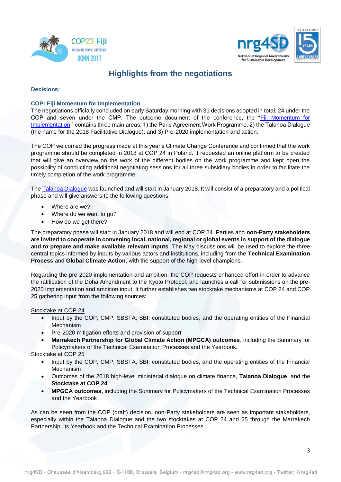



## **Highlights from the negotiations**

#### **Decisions:**

#### **COP: Fiji Momentum for Implementation**

The negotiations officially concluded on early Saturday morning with 31 decisions adopted in total, 24 under the COP and seven under the CMP. The outcome document of the conference, the ["Fiji Momentum for](http://unfccc.int/files/meetings/bonn_nov_2017/application/pdf/cp23_auv_fiji.pdf)  [Implementation,](http://unfccc.int/files/meetings/bonn_nov_2017/application/pdf/cp23_auv_fiji.pdf)" contains three main areas: 1) the Paris Agreement Work Programme, 2) the Talanoa Dialogue (the name for the 2018 Facilitative Dialogue), and 3) Pre-2020 implementation and action.

The COP welcomed the progress made at this year's Climate Change Conference and confirmed that the work programme should be completed in 2018 at COP 24 in Poland. It requested an online platform to be created that will give an overview on the work of the different bodies on the work programme and kept open the possibility of conducting additional negotiating sessions for all three subsidiary bodies in order to facilitate the timely completion of the work programme.

Th[e Talanoa Dialogue](http://unfccc.int/files/na/application/pdf/approach_to_the_talanoa_dialogue.pdf) was launched and will start in January 2018. It will consist of a preparatory and a political phase and will give answers to the following questions:

- Where are we?
- Where do we want to go?
- How do we get there?

The preparatory phase will start in January 2018 and will end at COP 24. Parties and **non-Party stakeholders are invited to cooperate in convening local, national, regional or global events in support of the dialogue and to prepare and make available relevant inputs**. The May discussions will be used to explore the three central topics informed by inputs by various actors and institutions, including from the **Technical Examination Process** and **Global Climate Action**, with the support of the high-level champions.

Regarding the pre-2020 implementation and ambition, the COP requests enhanced effort in order to advance the ratification of the Doha Amendment to the Kyoto Protocol, and launches a call for submissions on the pre-2020 implementation and ambition input. It further establishes two stocktake mechanisms at COP 24 and COP 25 gathering input from the following sources:

#### Stocktake at COP 24

- Input by the COP, CMP, SBSTA, SBI, constituted bodies, and the operating entities of the Financial Mechanism
- Pre-2020 mitigation efforts and provision of support
- **Marrakech Partnership for Global Climate Action (MPGCA) outcomes**, including the Summary for Policymakers of the Technical Examination Processes and the Yearbook.

#### Stocktake at COP 25

- Input by the COP, CMP, SBSTA, SBI, constituted bodies, and the operating entities of the Financial Mechanism
- Outcomes of the 2018 high-level ministerial dialogue on climate finance, **Talanoa Dialogue**, and the **Stocktake at COP 24**
- **MPGCA outcomes**, including the Summary for Policymakers of the Technical Examination Processes and the Yearbook

As can be seen from the COP (draft) decision, non-Party stakeholders are seen as important stakeholders, especially within the Talanoa Dialogue and the two stocktakes at COP 24 and 25 through the Marrakech Partnership, its Yearbook and the Technical Examination Processes.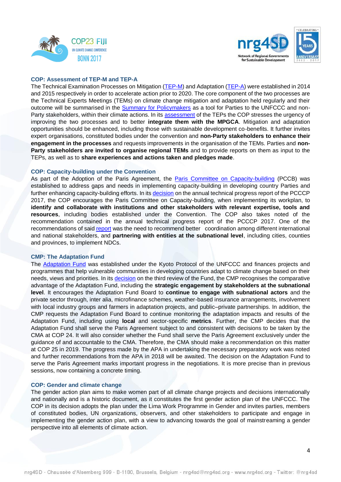



#### **COP: Assessment of TEP-M and TEP-A**

The Technical Examination Processes on Mitigation [\(TEP-M\)](http://unfccc.int/focus/mitigation/technical_expert_meetings/items/8179.php) and Adaptation [\(TEP-A\)](http://unfccc.int/adaptation/workstreams/technical_examination_process_on_adaptation/items/9542.php) were established in 2014 and 2015 respectively in order to accelerate action prior to 2020. The core component of the two processes are the Technical Experts Meetings (TEMs) on climate change mitigation and adaptation held regularly and their outcome will be summarised in the [Summary for Policymakers](http://unfccc.int/files/paris_agreement/application/pdf/summary_for_policymakers_2017.pdf) as a tool for Parties to the UNFCCC and nonParty stakeholders, within their climate actions. In its [assessment](http://unfccc.int/resource/docs/2017/cop23/eng/l02.pdf) of the TEPs the COP stresses the urgency of improving the two processes and to better **integrate them with the MPGCA**. Mitigation and adaptation opportunities should be enhanced, including those with sustainable development co-benefits. It further invites expert organisations, constituted bodies under the convention and **non-Party stakeholders to enhance their engagement in the processes** and requests improvements in the organisation of the TEMs. Parties and **non-Party stakeholders are invited to organise regional TEMs** and to provide reports on them as input to the TEPs, as well as to **share experiences and actions taken and pledges made**.

#### **COP: Capacity-building under the Convention**

As part of the Adoption of the Paris Agreement, the [Paris Committee on Capacity-building](http://unfccc.int/cooperation_and_support/capacity_building/items/10053.php) (PCCB) was established to address gaps and needs in implementing capacity-building in developing country Parties and further enhancing capacity-building efforts. In it[s decision](http://unfccc.int/resource/docs/2017/sbi/eng/l28.pdf) on the annual technical progress report of the PCCCP 2017, the COP encourages the Paris Committee on Capacity-building, when implementing its workplan, to **identify and collaborate with institutions and other stakeholders with relevant expertise, tools and resources**, including bodies established under the Convention. The COP also takes noted of the recommendation contained in the annual technical progress report of the PCCCP 2017. One of the recommendations of said [report](http://unfccc.int/resource/docs/2017/sbi/eng/11.pdf) was the need to recommend better coordination among different international and national stakeholders, and **partnering with entities at the subnational level**, including cities, counties and provinces, to implement NDCs.

#### **CMP: The Adaptation Fund**

The [Adaptation Fund](https://www.adaptation-fund.org/) was established under the Kyoto Protocol of the UNFCCC and finances projects and programmes that help vulnerable communities in developing countries adapt to climate change based on their needs, views and priorities. In its [decision](http://unfccc.int/resource/docs/2017/sbi/eng/l32.pdf) on the third review of the Fund, the CMP recognises the comparative advantage of the Adaptation Fund, including the **strategic engagement by stakeholders at the subnational level**. It encourages the Adaptation Fund Board to **continue to engage with subnational actors** and the private sector through, inter alia, microfinance schemes, weather-based insurance arrangements, involvement with local industry groups and farmers in adaptation projects, and public–private partnerships. In addition, the CMP requests the Adaptation Fund Board to continue monitoring the adaptation impacts and results of the Adaptation Fund, including using **local** and sector-specific **metrics**. Further, the CMP decides that the Adaptation Fund shall serve the Paris Agreement subject to and consistent with decisions to be taken by the CMA at COP 24. It will also consider whether the Fund shall serve the Paris Agreement exclusively under the guidance of and accountable to the CMA. Therefore, the CMA should make a recommendation on this matter at COP 25 in 2019. The progress made by the APA in undertaking the necessary preparatory work was noted and further recommendations from the APA in 2018 will be awaited. The decision on the Adaptation Fund to serve the Paris Agreement marks important progress in the negotiations. It is more precise than in previous sessions, now containing a concrete timing.

#### **COP: Gender and climate change**

The gender action plan aims to make women part of all climate change projects and decisions internationally and nationally and is a historic document, as it constitutes the first gender action plan of the UNFCCC. The COP in its decision adopts the plan under the Lima Work Programme in Gender and invites parties, members of constituted bodies, UN organizations, observers, and other stakeholders to participate and engage in implementing the gender action plan, with a view to advancing towards the goal of mainstreaming a gender perspective into all elements of climate action.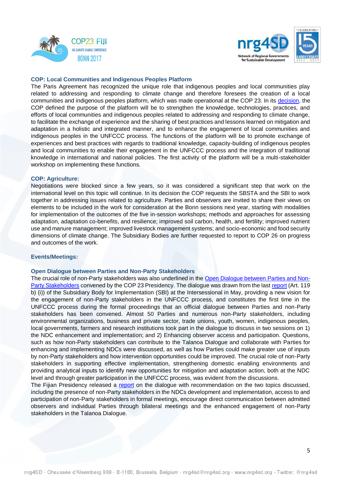



#### **COP: Local Communities and Indigenous Peoples Platform**

The Paris Agreement has recognized the unique role that indigenous peoples and local communities play related to addressing and responding to climate change and therefore foresees the creation of a local communities and indigenous peoples platform, which was made operational at the COP 23. In its [decision,](http://unfccc.int/resource/docs/2017/sbsta/eng/l29.pdf) the COP defined the purpose of the platform will be to strengthen the knowledge, technologies, practices, and efforts of local communities and indigenous peoples related to addressing and responding to climate change, to facilitate the exchange of experience and the sharing of best practices and lessons learned on mitigation and adaptation in a holistic and integrated manner, and to enhance the engagement of local communities and indigenous peoples in the UNFCCC process. The functions of the platform will be to promote exchange of experiences and best practices with regards to traditional knowledge, capacity-building of indigenous peoples and local communities to enable their engagement in the UNFCCC process and the integration of traditional knowledge in international and national policies. The first activity of the platform will be a multi-stakeholder workshop on implementing these functions.

#### **COP: Agriculture:**

Negotiations were blocked since a few years, so it was considered a significant step that work on the international level on this topic will continue. In its decision the COP requests the SBSTA and the SBI to work together in addressing issues related to agriculture. Parties and observers are invited to share their views on elements to be included in the work for consideration at the Bonn sessions next year, starting with modalities for implementation of the outcomes of the five in-session workshops; methods and approaches for assessing adaptation, adaptation co-benefits, and resilience; improved soil carbon, health, and fertility; improved nutrient use and manure management; improved livestock management systems; and socio-economic and food security dimensions of climate change. The Subsidiary Bodies are further requested to report to COP 26 on progress and outcomes of the work.

#### **Events/Meetings:**

#### **Open Dialogue between Parties and Non-Party Stakeholders**

The crucial role of non-Party stakeholders was also underlined in the [Open Dialogue between Parties and Non-](http://unfccc.int/parties_and_observers/observer_organizations/items/10513.php#gc_1)[Party Stakeholders](http://unfccc.int/parties_and_observers/observer_organizations/items/10513.php#gc_1) convened by the COP 23 Presidency. The dialogue was drawn from the las[t report](http://unfccc.int/resource/docs/2017/sbi/eng/07.pdf) (Art. 119 b) (i)) of the Subsidiary Body for Implementation (SBI) at the Intersessional in May, providing a new vision for the engagement of non-Party stakeholders in the UNFCCC process, and constitutes the first time in the UNFCCC process during the formal proceedings that an official dialogue between Parties and non-Party stakeholders has been convened. Almost 50 Parties and numerous non-Party stakeholders, including environmental organizations, business and private sector, trade unions, youth, women, indigenous peoples, local governments, farmers and research institutions took part in the dialogue to discuss in two sessions on 1) the NDC enhancement and implementation; and 2) Enhancing observer access and participation. Questions, such as how non-Party stakeholders can contribute to the Talanoa Dialogue and collaborate with Parties for enhancing and implementing NDCs were discussed, as well as how Parties could make greater use of inputs by non-Party stakeholders and how intervention opportunities could be improved. The crucial role of non-Party stakeholders in supporting effective implementation, strengthening domestic enabling environments and providing analytical inputs to identify new opportunities for mitigation and adaptation action, both at the NDC level and through greater participation in the UNFCCC process, was evident from the discussions.

The Fijian Presidency released a [report](http://unfccc.int/files/parties_and_observers/application/pdf/final_presidencys_open_dialogue_report_171117.pdf) on the dialogue with recommendation on the two topics discussed, including the presence of non-Party stakeholders in the NDCs development and implementation, access to and participation of non-Party stakeholders in formal meetings, encourage direct communication between admitted observers and individual Parties through bilateral meetings and the enhanced engagement of non-Party stakeholders in the Talanoa Dialogue.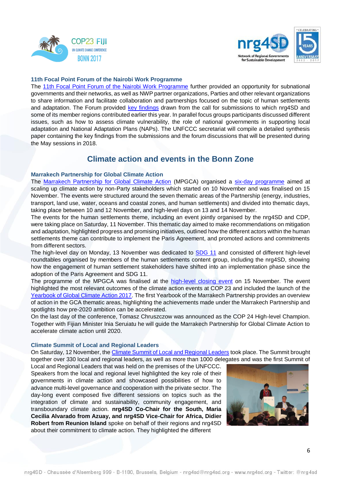



#### **11th Focal Point Forum of the Nairobi Work Programme**

The [11th Focal Point Forum of the Nairobi Work Programme](http://unfccc.int/adaptation/nairobi_workprogramme/workshops_and_meetings/items/10447.php) further provided an opportunity for subnational governments and their networks, as well as NWP partner organizations, Parties and other relevant organizations to share information and facilitate collaboration and partnerships focused on the topic of human settlements and adaptation. The Forum provided [key findings](http://unfccc.int/files/adaptation/nairobi_work_programme/application/pdf/11th_focal_point_forum_-_submissions_key_findings_.pdf) drawn from the call for submissions to which nrg4SD and some of its member regions contributed earlier this year. In parallel focus groups participants discussed different issues, such as how to assess climate vulnerability, the role of national governments in supporting local adaptation and National Adaptation Plans (NAPs). The UNFCCC secretariat will compile a detailed synthesis paper containing the key findings from the submissions and the forum discussions that will be presented during the May sessions in 2018.

### **Climate action and events in the Bonn Zone**

#### **Marrakech Partnership for Global Climate Action**

The [Marrakech Partnership for Global Climate Action](http://unfccc.int/paris_agreement/items/9951.php) (MPGCA) organised a [six-day programme](http://unfccc.int/paris_agreement/items/10490.php) aimed at scaling up climate action by non-Party stakeholders which started on 10 November and was finalised on 15 November. The events were structured around the seven thematic areas of the Partnership (energy, industries, transport, land use, water, oceans and coastal zones, and human settlements) and divided into thematic days, taking place between 10 and 12 November, and high-level days on 13 and 14 November.

The events for the human settlements theme, including an event jointly organised by the nrg4SD and CDP, were taking place on Saturday, 11 November. This thematic day aimed to make recommendations on mitigation and adaptation, highlighted progress and promising initiatives, outlined how the different actors within the human settlements theme can contribute to implement the Paris Agreement, and promoted actions and commitments from different sectors.

The high-level day on Monday, 13 November was dedicated to **SDG 11** and consisted of different high-level roundtables organised by members of the human settlements content group, including the nrg4SD, showing how the engagement of human settlement stakeholders have shifted into an implementation phase since the adoption of the Paris Agreement and SDG 11.

The programme of the MPGCA was finalised at the [high-level closing](https://cop23.unfccc.int/news/high-level-closing-of-global-climate-action-events-at-cop23) event on 15 November. The event highlighted the most relevant outcomes of the climate action events at COP 23 and included the launch of the [Yearbook of Global Climate Action 2017.](http://unfccc.int/tools/GCA_Yearbook/GCA_Yearbook2017.pdf) The first Yearbook of the Marrakech Partnership provides an overview of action in the GCA thematic areas, highlighting the achievements made under the Marrakech Partnership and spotlights how pre-2020 ambition can be accelerated.

On the last day of the conference, Tomasz Chruszczow was announced as the COP 24 High-level Champion. Together with Fijian Minister Inia Seruiatu he will guide the Marrakech Partnership for Global Climate Action to accelerate climate action until 2020.

#### **Climate Summit of Local and Regional Leaders**

On Saturday, 12 November, the [Climate Summit of Local and Regional Leaders](http://www.cities-and-regions.org/summit/) took place. The Summit brought together over 330 local and regional leaders, as well as more than 1000 delegates and was the first Summit of

Local and Regional Leaders that was held on the premises of the UNFCCC. Speakers from the local and regional level highlighted the key role of their governments in climate action and showcased possibilities of how to advance multi-level governance and cooperation with the private sector. The day-long event composed five different sessions on topics such as the integration of climate and sustainability, community engagement, and transboundary climate action. **nrg4SD Co-Chair for the South, Maria Cecilia Alvarado from Azuay, and nrg4SD Vice-Chair for Africa, Didier Robert from Reunion Island** spoke on behalf of their regions and nrg4SD about their commitment to climate action. They highlighted the different

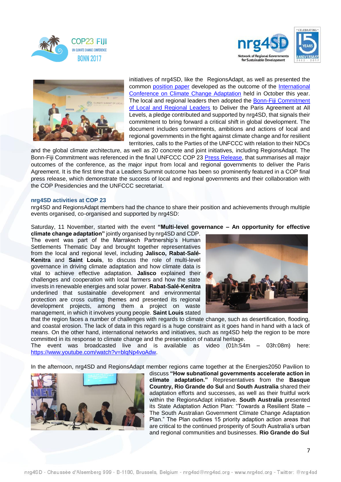





initiatives of nrg4SD, like the RegionsAdapt, as well as presented the common [position paper](http://www.nrg4sd.org/wp-content/uploads/2017/10/Position-Paper.pdf) developed as the outcome of the [International](http://www.nrg4sd.org/regional-governments-positioned-cop-23-international-conference-adaptation/)  [Conference on Climate Change Adaptation](http://www.nrg4sd.org/regional-governments-positioned-cop-23-international-conference-adaptation/) held in October this year. The local and regional leaders then adopted the [Bonn-Fiji Commitment](http://www.cities-and-regions.org/cop23/wp-content/uploads/2017/11/bonn-fiji-commitment-of-local-and-regional-leaders.pdf)  [of Local and Regional Leaders](http://www.cities-and-regions.org/cop23/wp-content/uploads/2017/11/bonn-fiji-commitment-of-local-and-regional-leaders.pdf) to Deliver the Paris Agreement at All Levels, a pledge contributed and supported by nrg4SD, that signals their commitment to bring forward a critical shift in global development. The document includes commitments, ambitions and actions of local and regional governments in the fight against climate change and for resilient territories, calls to the Parties of the UNFCCC with relation to their NDCs

and the global climate architecture, as well as 20 concrete and joint initiatives, including RegionsAdapt. The Bonn-Fiji Commitment was referenced in the final UNFCCC COP 23 [Press Release,](https://cop23.unfccc.int/news/bonn-climate-conference-becomes-launch-pad-for-higher-ambition) that summarises all major outcomes of the conference, as the major input from local and regional governments to deliver the Paris Agreement. It is the first time that a Leaders Summit outcome has been so prominently featured in a COP final press release, which demonstrate the success of local and regional governments and their collaboration with the COP Presidencies and the UNFCCC secretariat.

#### **nrg4SD activities at COP 23**

nrg4SD and RegionsAdapt members had the chance to share their position and achievements through multiple events organised, co-organised and supported by nrg4SD:

Saturday, 11 November, started with the event **"Multi-level governance – An opportunity for effective** 

**climate change adaptation"** jointly organised by nrg4SD and CDP. The event was part of the Marrakech Partnership's Human Settlements Thematic Day and brought together representatives from the local and regional level, including **Jalisco, Rabat-Salé-Kenitra** and **Saint Louis**, to discuss the role of multi-level governance in driving climate adaptation and how climate data is vital to achieve effective adaptation. **Jalisco** explained their challenges and cooperation with local farmers and how the state invests in renewable energies and solar power. **Rabat-Salé-Kenitra** underlined that sustainable development and environmental protection are cross cutting themes and presented its regional development projects, among them a project on waste management, in which it involves young people. **Saint Louis** stated



that the region faces a number of challenges with regards to climate change, such as desertification, flooding, and coastal erosion. The lack of data in this regard is a huge constraint as it goes hand in hand with a lack of means. On the other hand, international networks and initiatives, such as nrg4SD help the region to be more committed in its response to climate change and the preservation of natural heritage.

The event was broadcasted live and is available as video (01h:54m – 03h:08m) here: [https://www.youtube.com/watch?v=blqNp4voAdw.](https://www.youtube.com/watch?v=blqNp4voAdw)

In the afternoon, nrg4SD and RegionsAdapt member regions came together at the Energies2050 Pavilion to



discuss **"How subnational governments accelerate action in climate adaptation."** Representatives from the **Basque Country, Rio Grande do Sul** and **South Australia** shared their adaptation efforts and successes, as well as their fruitful work within the RegionsAdapt initiative. **South Australia** presented its State Adaptation Action Plan: "Towards a Resilient State – The South Australian Government Climate Change Adaptation Plan." The Plan outlines 15 priority adaption action areas that are critical to the continued prosperity of South Australia's urban and regional communities and businesses. **Rio Grande do Sul**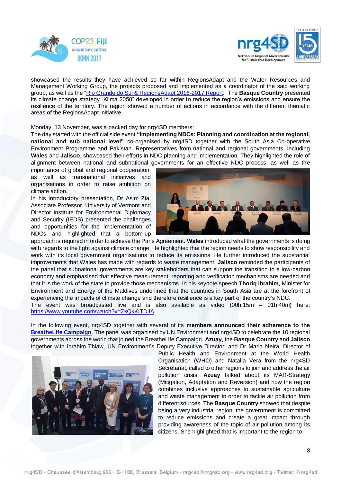



showcased the results they have achieved so far within RegionsAdapt and the Water Resources and Management Working Group, the projects proposed and implemented as a coordinator of the said working group, as well as the ["Rio Grande do Sul & RegionsAdapt 2016-2017 Report.](http://www.nrg4sd.org/wp-content/uploads/2017/11/RA2016REPORT_FINAL-EDITADO-1.compressed.pdf)" The **Basque Country** presented its climate change strategy "Klima 2050" developed in order to reduce the region's emissions and ensure the resilience of the territory. The region showed a number of actions in accordance with the different thematic areas of the RegionsAdapt initiative.

Monday, 13 November, was a packed day for nrg4SD members:

The day started with the official side event **"Implementing NDCs: Planning and coordination at the regional, national and sub national level"** co-organised by nrg4SD together with the South Asia Co-operative Environment Programme and Pakistan. Representatives from national and regional governments, including **Wales** and **Jalisco**, showcased their efforts in NDC planning and implementation. They highlighted the role of alignment between national and subnational governments for an effective NDC process, as well as the

importance of global and regional cooperation, as well as transnational initiatives and organisations in order to raise ambition on climate action.

In his introductory presentation, Dr Asim Zia, Associate Professor, University of Vermont and Director Institute for Environmental Diplomacy and Security (IEDS) presented the challenges and opportunities for the implementation of NDCs and highlighted that a bottom-up



approach is required in order to achieve the Paris Agreement. **Wales** introduced what the governments is doing with regards to the fight against climate change. He highlighted that the region needs to show responsibility and work with its local government organisations to reduce its emissions. He further introduced the substantial improvements that Wales has made with regards to waste management. **Jalisco** reminded the participants of the panel that subnational governments are key stakeholders that can support the transition to a low-carbon economy and emphasised that effective measurement, reporting and verification mechanisms are needed and that it is the work of the state to provide those mechanisms. In his keynote speech **Thoriq Ibrahim**, Minister for Environment and Energy of the Maldives underlined that the countries in South Asia are at the forefront of experiencing the impacts of climate change and therefore resilience is a key part of the country's NDC.

The event was broadcasted live and is also available as video (00h:15m – 01h:40m) here: [https://www.youtube.com/watch?v=ZxQkKITDlfA.](https://www.youtube.com/watch?v=ZxQkKITDlfA)

In the following event, nrg4SD together with several of its **members announced their adherence to the [BreatheLife Campaign](http://www.nrg4sd.org/climate-change/breathelife/)**. The panel was organised by UN Environment and nrg4SD to celebrate the 10 regional governments across the world that joined the BreatheLife Campaign. **Azuay**, the **Basque Country** and **Jalisco** together with Ibrahim Thiaw, UN Environment's Deputy Executive Director, and Dr Maria Neira, Director of



Public Health and Environment at the World Health Organisation (WHO) and Natalia Vera from the nrg4SD Secretariat, called to other regions to join and address the air pollution crisis. **Azuay** talked about its MAR-Strategy (Mitigation, Adaptation and Reversion) and how the region combines inclusive approaches to sustainable agriculture and waste management in order to tackle air pollution from different sources. The **Basque Country** showed that despite being a very industrial region, the government is committed to reduce emissions and create a great impact through providing awareness of the topic of air pollution among its citizens. She highlighted that is important to the region to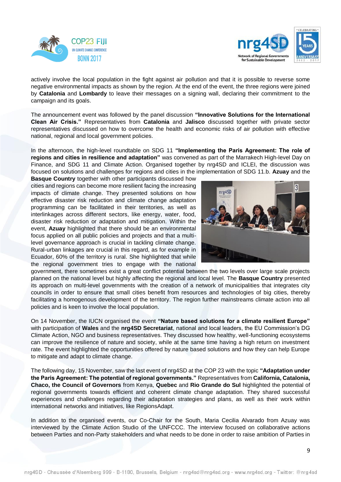



actively involve the local population in the fight against air pollution and that it is possible to reverse some negative environmental impacts as shown by the region. At the end of the event, the three regions were joined by **Catalonia** and **Lombardy** to leave their messages on a signing wall, declaring their commitment to the campaign and its goals.

The announcement event was followed by the panel discussion **"Innovative Solutions for the International Clean Air Crisis."** Representatives from **Catalonia** and **Jalisco** discussed together with private sector representatives discussed on how to overcome the health and economic risks of air pollution with effective national, regional and local government policies.

In the afternoon, the high-level roundtable on SDG 11 **"Implementing the Paris Agreement: The role of regions and cities in resilience and adaptation"** was convened as part of the Marrakech High-level Day on Finance, and SDG 11 and Climate Action. Organised together by nrg4SD and ICLEI, the discussion was focused on solutions and challenges for regions and cities in the implementation of SDG 11.b. **Azuay** and the

**Basque Country** together with other participants discussed how cities and regions can become more resilient facing the increasing impacts of climate change. They presented solutions on how effective disaster risk reduction and climate change adaptation programming can be facilitated in their territories, as well as interlinkages across different sectors, like energy, water, food, disaster risk reduction or adaptation and mitigation. Within the event, **Azuay** highlighted that there should be an environmental focus applied on all public policies and projects and that a multilevel governance approach is crucial in tackling climate change. Rural-urban linkages are crucial in this regard, as for example in Ecuador, 60% of the territory is rural. She highlighted that while the regional government tries to engage with the national



government, there sometimes exist a great conflict potential between the two levels over large scale projects planned on the national level but highly affecting the regional and local level. The **Basque Country** presented its approach on multi-level governments with the creation of a network of municipalities that integrates city councils in order to ensure that small cities benefit from resources and technologies of big cities, thereby facilitating a homogenous development of the territory. The region further mainstreams climate action into all policies and is keen to involve the local population.

On 14 November, the IUCN organised the event **"Nature based solutions for a climate resilient Europe"** with participation of **Wales** and the **nrg4SD Secretariat**, national and local leaders, the EU Commission's DG Climate Action, NGO and business representatives. They discussed how healthy, well-functioning ecosystems can improve the resilience of nature and society, while at the same time having a high return on investment rate. The event highlighted the opportunities offered by nature based solutions and how they can help Europe to mitigate and adapt to climate change.

The following day, 15 November, saw the last event of nrg4SD at the COP 23 with the topic **"Adaptation under the Paris Agreement: The potential of regional governments."** Representatives from **California, Catalonia, Chaco, the Council of Governors** from Kenya, **Quebec** and **Rio Grande do Sul** highlighted the potential of regional governments towards efficient and coherent climate change adaptation. They shared successful experiences and challenges regarding their adaptation strategies and plans, as well as their work within international networks and initiatives, like RegionsAdapt.

In addition to the organised events, our Co-Chair for the South, Maria Cecilia Alvarado from Azuay was interviewed by the Climate Action Studio of the UNFCCC. The interview focused on collaborative actions between Parties and non-Party stakeholders and what needs to be done in order to raise ambition of Parties in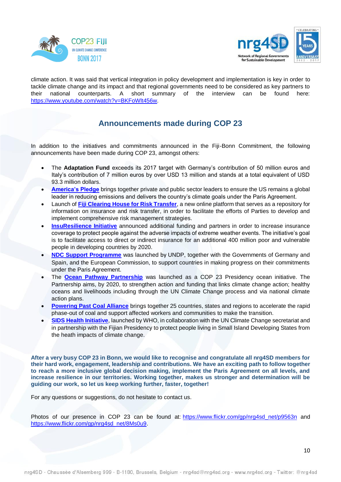



climate action. It was said that vertical integration in policy development and implementation is key in order to tackle climate change and its impact and that regional governments need to be considered as key partners to their national counterparts. A short summary of the interview can be found here: [https://www.youtube.com/watch?v=BKFoWlt456w.](https://www.youtube.com/watch?v=BKFoWlt456w)

## **Announcements made during COP 23**

In addition to the initiatives and commitments announced in the Fiji-Bonn Commitment, the following announcements have been made during COP 23, amongst others:

- The **Adaptation Fund** exceeds its 2017 target with Germany's contribution of 50 million euros and Italy's contribution of 7 million euros by over USD 13 million and stands at a total equivalent of USD 93.3 million dollars.
- **[America's Pledge](https://www.americaspledgeonclimate.com/)** brings together private and public sector leaders to ensure the US remains a global leader in reducing emissions and delivers the country's climate goals under the Paris Agreement.
- Launch of **[Fiji Clearing House for Risk Transfer](http://www.unfccc-clearinghouse.org/)**, a new online platform that serves as a repository for information on insurance and risk transfer, in order to facilitate the efforts of Parties to develop and implement comprehensive risk management strategies.
- **[InsuResilience Initiative](http://www.insuresilience.org/)** announced additional funding and partners in order to increase insurance coverage to protect people against the adverse impacts of extreme weather events. The initiative's goal is to facilitate access to direct or indirect insurance for an additional 400 million poor and vulnerable people in developing countries by 2020.
- **[NDC Support Programme](https://www.ndc-cluster.net/project/undp-ndc-support-programme)** was launched by UNDP, together with the Governments of Germany and Spain, and the European Commission, to support countries in making progress on their commitments under the Paris Agreement.
- The **[Ocean Pathway Partnership](https://cop23.com.fj/wp-content/uploads/2017/11/The-Ocean-Pathway-Strategy-8.11.2017.pdf)** was launched as a COP 23 Presidency ocean initiative. The Partnership aims, by 2020, to strengthen action and funding that links climate change action; healthy oceans and livelihoods including through the UN Climate Change process and via national climate action plans.
- **[Powering Past Coal Alliance](https://www.gov.uk/government/uploads/system/uploads/attachment_data/file/660041/powering-past-coal-alliance.pdf)** brings together 25 countries, states and regions to accelerate the rapid phase-out of coal and support affected workers and communities to make the transition.
- **[SIDS Health Initiative](http://www.who.int/mediacentre/news/releases/2017/climate-small-islands/en/)**, launched by WHO, in collaboration with the UN Climate Change secretariat and in partnership with the Fijian Presidency to protect people living in Small Island Developing States from the heath impacts of climate change.

**After a very busy COP 23 in Bonn, we would like to recognise and congratulate all nrg4SD members for their hard work, engagement, leadership and contributions. We have an exciting path to follow together to reach a more inclusive global decision making, implement the Paris Agreement on all levels, and increase resilience in our territories. Working together, makes us stronger and determination will be guiding our work, so let us keep working further, faster, together!** 

For any questions or suggestions, do not hesitate to contact us.

Photos of our presence in COP 23 can be found at: [https://www.flickr.com/gp/nrg4sd\\_net/p9563n](https://www.flickr.com/gp/nrg4sd_net/p9563n) and [https://www.flickr.com/gp/nrg4sd\\_net/8Ms0u9.](https://www.flickr.com/gp/nrg4sd_net/8Ms0u9)